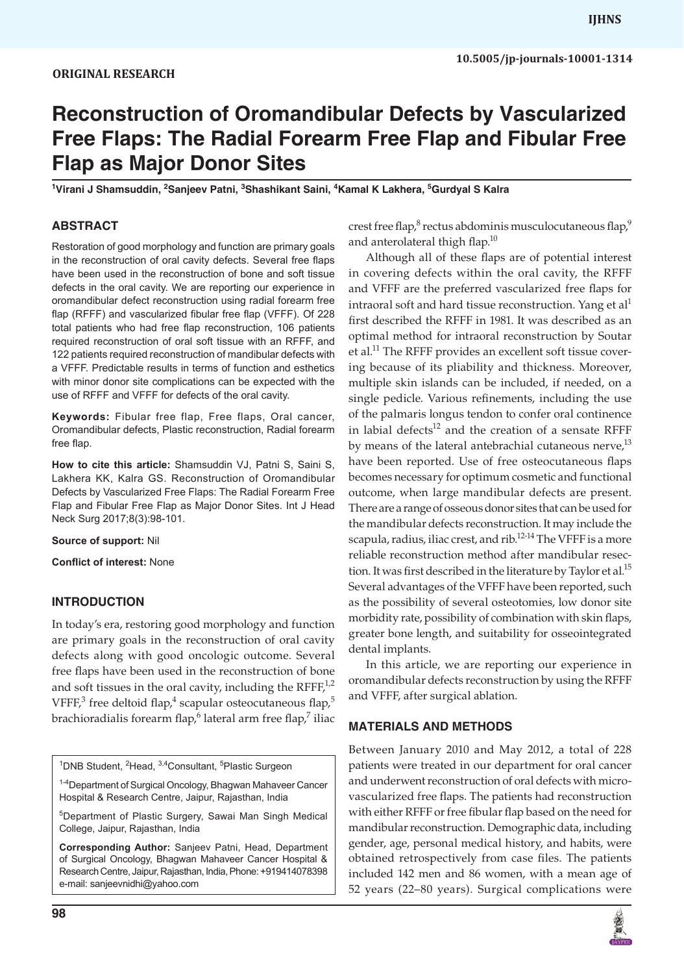# **Reconstruction of Oromandibular Defects by Vascularized Free Flaps: The Radial Forearm Free Flap and Fibular Free Flap as Major Donor Sites**

<sup>1</sup>Virani J Shamsuddin, <sup>2</sup>Sanjeev Patni, <sup>3</sup>Shashikant Saini, <sup>4</sup>Kamal K Lakhera, <sup>5</sup>Gurdyal S Kalra

## **ABSTRACT**

Restoration of good morphology and function are primary goals in the reconstruction of oral cavity defects. Several free flaps have been used in the reconstruction of bone and soft tissue defects in the oral cavity. We are reporting our experience in oromandibular defect reconstruction using radial forearm free flap (RFFF) and vascularized fibular free flap (VFFF). Of 228 total patients who had free flap reconstruction, 106 patients required reconstruction of oral soft tissue with an RFFF, and 122 patients required reconstruction of mandibular defects with a VFFF. Predictable results in terms of function and esthetics with minor donor site complications can be expected with the use of RFFF and VFFF for defects of the oral cavity.

**Keywords:** Fibular free flap, Free flaps, Oral cancer, Oromandibular defects, Plastic reconstruction, Radial forearm free flap.

**How to cite this article:** Shamsuddin VJ, Patni S, Saini S, Lakhera KK, Kalra GS. Reconstruction of Oromandibular Defects by Vascularized Free Flaps: The Radial Forearm Free Flap and Fibular Free Flap as Major Donor Sites. Int J Head Neck Surg 2017;8(3):98-101.

**Source of support:** Nil

**Conflict of interest:** None

# **INTRODUCTION**

In today's era, restoring good morphology and function are primary goals in the reconstruction of oral cavity defects along with good oncologic outcome. Several free flaps have been used in the reconstruction of bone and soft tissues in the oral cavity, including the RFFF $,1,2$ VFFF,<sup>3</sup> free deltoid flap,<sup>4</sup> scapular osteocutaneous flap,<sup>5</sup> brachioradialis forearm flap, <sup>6</sup> lateral arm free flap, <sup>7</sup> iliac

<sup>1</sup>DNB Student, <sup>2</sup>Head, <sup>3,4</sup>Consultant, <sup>5</sup>Plastic Surgeon

<sup>1-4</sup>Department of Surgical Oncology, Bhagwan Mahaveer Cancer Hospital & Research Centre, Jaipur, Rajasthan, India

5 Department of Plastic Surgery, Sawai Man Singh Medical College, Jaipur, Rajasthan, India

**Corresponding Author:** Sanjeev Patni, Head, Department of Surgical Oncology, Bhagwan Mahaveer Cancer Hospital & Research Centre, Jaipur, Rajasthan, India, Phone: +919414078398 e-mail: sanjeevnidhi@yahoo.com

crest free flap, $^8$  rectus abdominis musculocutaneous flap, $^9$ and anterolateral thigh flap.<sup>10</sup>

Although all of these flaps are of potential interest in covering defects within the oral cavity, the RFFF and VFFF are the preferred vascularized free flaps for intraoral soft and hard tissue reconstruction. Yang et al<sup>1</sup> first described the RFFF in 1981. It was described as an optimal method for intraoral reconstruction by Soutar et al.<sup>11</sup> The RFFF provides an excellent soft tissue covering because of its pliability and thickness. Moreover, multiple skin islands can be included, if needed, on a single pedicle. Various refinements, including the use of the palmaris longus tendon to confer oral continence in labial defects $12$  and the creation of a sensate RFFF by means of the lateral antebrachial cutaneous nerve, $^{13}$ have been reported. Use of free osteocutaneous flaps becomes necessary for optimum cosmetic and functional outcome, when large mandibular defects are present. There are a range of osseous donor sites that can be used for the mandibular defects reconstruction. It may include the scapula, radius, iliac crest, and rib.<sup>12-14</sup> The VFFF is a more reliable reconstruction method after mandibular resection. It was first described in the literature by Taylor et al.<sup>15</sup> Several advantages of the VFFF have been reported, such as the possibility of several osteotomies, low donor site morbidity rate, possibility of combination with skin flaps, greater bone length, and suitability for osseointegrated dental implants.

In this article, we are reporting our experience in oromandibular defects reconstruction by using the RFFF and VFFF, after surgical ablation.

## **materials AND METHODS**

Between January 2010 and May 2012, a total of 228 patients were treated in our department for oral cancer and underwent reconstruction of oral defects with microvascularized free flaps. The patients had reconstruction with either RFFF or free fibular flap based on the need for mandibular reconstruction. Demographic data, including gender, age, personal medical history, and habits, were obtained retrospectively from case files. The patients included 142 men and 86 women, with a mean age of 52 years (22–80 years). Surgical complications were

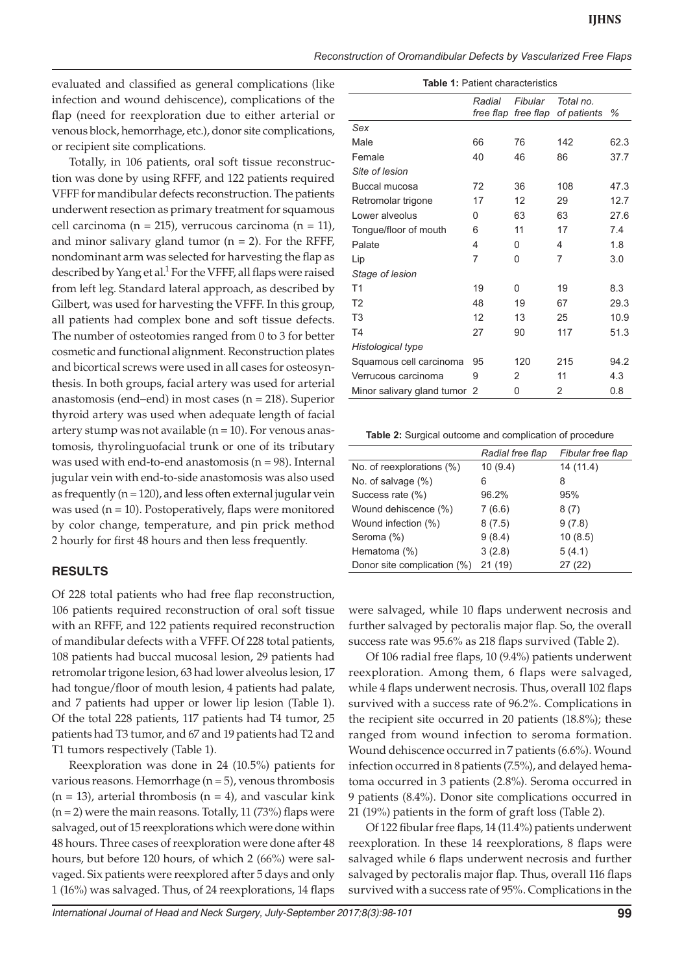evaluated and classified as general complications (like infection and wound dehiscence), complications of the flap (need for reexploration due to either arterial or venous block, hemorrhage, etc.), donor site complications, or recipient site complications.

Totally, in 106 patients, oral soft tissue reconstruction was done by using RFFF, and 122 patients required VFFF for mandibular defects reconstruction. The patients underwent resection as primary treatment for squamous cell carcinoma (n = 215), verrucous carcinoma (n = 11), and minor salivary gland tumor  $(n = 2)$ . For the RFFF, nondominant arm was selected for harvesting the flap as described by Yang et al.<sup>1</sup> For the VFFF, all flaps were raised from left leg. Standard lateral approach, as described by Gilbert, was used for harvesting the VFFF. In this group, all patients had complex bone and soft tissue defects. The number of osteotomies ranged from 0 to 3 for better cosmetic and functional alignment. Reconstruction plates and bicortical screws were used in all cases for osteosynthesis. In both groups, facial artery was used for arterial anastomosis (end–end) in most cases (n = 218). Superior thyroid artery was used when adequate length of facial artery stump was not available (n = 10). For venous anastomosis, thyrolinguofacial trunk or one of its tributary was used with end-to-end anastomosis ( $n = 98$ ). Internal jugular vein with end-to-side anastomosis was also used as frequently ( $n = 120$ ), and less often external jugular vein was used  $(n = 10)$ . Postoperatively, flaps were monitored by color change, temperature, and pin prick method 2 hourly for first 48 hours and then less frequently.

#### **RESULTS**

Of 228 total patients who had free flap reconstruction, 106 patients required reconstruction of oral soft tissue with an RFFF, and 122 patients required reconstruction of mandibular defects with a VFFF. Of 228 total patients, 108 patients had buccal mucosal lesion, 29 patients had retromolar trigone lesion, 63 had lower alveolus lesion, 17 had tongue/floor of mouth lesion, 4 patients had palate, and 7 patients had upper or lower lip lesion (Table 1). Of the total 228 patients, 117 patients had T4 tumor, 25 patients had T3 tumor, and 67 and 19 patients had T2 and T1 tumors respectively (Table 1).

Reexploration was done in 24 (10.5%) patients for various reasons. Hemorrhage (n = 5), venous thrombosis  $(n = 13)$ , arterial thrombosis  $(n = 4)$ , and vascular kink  $(n = 2)$  were the main reasons. Totally, 11 (73%) flaps were salvaged, out of 15 reexplorations which were done within 48 hours. Three cases of reexploration were done after 48 hours, but before 120 hours, of which 2 (66%) were salvaged. Six patients were reexplored after 5 days and only 1 (16%) was salvaged. Thus, of 24 reexplorations, 14 flaps

| <b>Table 1: Patient characteristics</b> |        |                                |                          |      |  |
|-----------------------------------------|--------|--------------------------------|--------------------------|------|--|
|                                         | Radial | Fibular<br>free flap free flap | Total no.<br>of patients | ℅    |  |
| Sex                                     |        |                                |                          |      |  |
| Male                                    | 66     | 76                             | 142                      | 62.3 |  |
| Female                                  | 40     | 46                             | 86                       | 37.7 |  |
| Site of lesion                          |        |                                |                          |      |  |
| Buccal mucosa                           | 72     | 36                             | 108                      | 47.3 |  |
| Retromolar trigone                      | 17     | 12                             | 29                       | 12.7 |  |
| Lower alveolus                          | 0      | 63                             | 63                       | 27.6 |  |
| Tongue/floor of mouth                   | 6      | 11                             | 17                       | 74   |  |
| Palate                                  | 4      | 0                              | 4                        | 1.8  |  |
| Lip                                     | 7      | 0                              | 7                        | 3.0  |  |
| Stage of lesion                         |        |                                |                          |      |  |
| T <sub>1</sub>                          | 19     | 0                              | 19                       | 8.3  |  |
| T <sub>2</sub>                          | 48     | 19                             | 67                       | 29.3 |  |
| T <sub>3</sub>                          | 12     | 13                             | 25                       | 10.9 |  |
| <b>T4</b>                               | 27     | 90                             | 117                      | 51.3 |  |
| Histological type                       |        |                                |                          |      |  |
| Squamous cell carcinoma                 | 95     | 120                            | 215                      | 94.2 |  |
| Verrucous carcinoma                     | 9      | 2                              | 11                       | 4.3  |  |
| Minor salivary gland tumor 2            |        | 0                              | 2                        | 0.8  |  |

**Table 2:** Surgical outcome and complication of procedure

|                             | Radial free flap | Fibular free flap |
|-----------------------------|------------------|-------------------|
| No. of reexplorations (%)   | 10(9.4)          | 14(11.4)          |
| No. of salvage (%)          | 6                | 8                 |
| Success rate (%)            | 96.2%            | 95%               |
| Wound dehiscence (%)        | 7(6.6)           | 8(7)              |
| Wound infection (%)         | 8(7.5)           | 9(7.8)            |
| Seroma (%)                  | 9(8.4)           | 10(8.5)           |
| Hematoma (%)                | 3(2.8)           | 5(4.1)            |
| Donor site complication (%) | 21 (19)          | 27 (22)           |

were salvaged, while 10 flaps underwent necrosis and further salvaged by pectoralis major flap. So, the overall success rate was 95.6% as 218 flaps survived (Table 2).

Of 106 radial free flaps, 10 (9.4%) patients underwent reexploration. Among them, 6 flaps were salvaged, while 4 flaps underwent necrosis. Thus, overall 102 flaps survived with a success rate of 96.2%. Complications in the recipient site occurred in 20 patients (18.8%); these ranged from wound infection to seroma formation. Wound dehiscence occurred in 7 patients (6.6%). Wound infection occurred in 8 patients (7.5%), and delayed hematoma occurred in 3 patients (2.8%). Seroma occurred in 9 patients (8.4%). Donor site complications occurred in 21 (19%) patients in the form of graft loss (Table 2).

Of 122 fibular free flaps, 14 (11.4%) patients underwent reexploration. In these 14 reexplorations, 8 flaps were salvaged while 6 flaps underwent necrosis and further salvaged by pectoralis major flap. Thus, overall 116 flaps survived with a success rate of 95%. Complications in the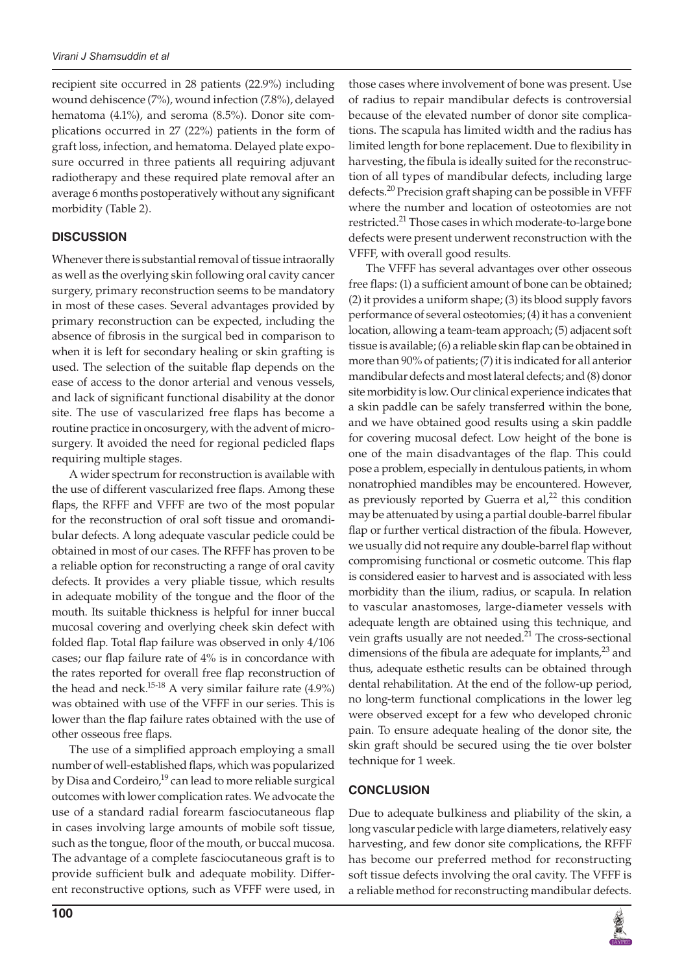recipient site occurred in 28 patients (22.9%) including wound dehiscence (7%), wound infection (7.8%), delayed hematoma (4.1%), and seroma (8.5%). Donor site complications occurred in 27 (22%) patients in the form of graft loss, infection, and hematoma. Delayed plate exposure occurred in three patients all requiring adjuvant radiotherapy and these required plate removal after an average 6 months postoperatively without any significant morbidity (Table 2).

## **DISCUSSION**

Whenever there is substantial removal of tissue intraorally as well as the overlying skin following oral cavity cancer surgery, primary reconstruction seems to be mandatory in most of these cases. Several advantages provided by primary reconstruction can be expected, including the absence of fibrosis in the surgical bed in comparison to when it is left for secondary healing or skin grafting is used. The selection of the suitable flap depends on the ease of access to the donor arterial and venous vessels, and lack of significant functional disability at the donor site. The use of vascularized free flaps has become a routine practice in oncosurgery, with the advent of microsurgery. It avoided the need for regional pedicled flaps requiring multiple stages.

A wider spectrum for reconstruction is available with the use of different vascularized free flaps. Among these flaps, the RFFF and VFFF are two of the most popular for the reconstruction of oral soft tissue and oromandibular defects. A long adequate vascular pedicle could be obtained in most of our cases. The RFFF has proven to be a reliable option for reconstructing a range of oral cavity defects. It provides a very pliable tissue, which results in adequate mobility of the tongue and the floor of the mouth. Its suitable thickness is helpful for inner buccal mucosal covering and overlying cheek skin defect with folded flap. Total flap failure was observed in only 4/106 cases; our flap failure rate of 4% is in concordance with the rates reported for overall free flap reconstruction of the head and neck.<sup>15-18</sup> A very similar failure rate  $(4.9\%)$ was obtained with use of the VFFF in our series. This is lower than the flap failure rates obtained with the use of other osseous free flaps.

The use of a simplified approach employing a small number of well-established flaps, which was popularized by Disa and Cordeiro,<sup>19</sup> can lead to more reliable surgical outcomes with lower complication rates. We advocate the use of a standard radial forearm fasciocutaneous flap in cases involving large amounts of mobile soft tissue, such as the tongue, floor of the mouth, or buccal mucosa. The advantage of a complete fasciocutaneous graft is to provide sufficient bulk and adequate mobility. Different reconstructive options, such as VFFF were used, in those cases where involvement of bone was present. Use of radius to repair mandibular defects is controversial because of the elevated number of donor site complications. The scapula has limited width and the radius has limited length for bone replacement. Due to flexibility in harvesting, the fibula is ideally suited for the reconstruction of all types of mandibular defects, including large defects.<sup>20</sup> Precision graft shaping can be possible in VFFF where the number and location of osteotomies are not restricted.<sup>21</sup> Those cases in which moderate-to-large bone defects were present underwent reconstruction with the VFFF, with overall good results.

The VFFF has several advantages over other osseous free flaps: (1) a sufficient amount of bone can be obtained; (2) it provides a uniform shape; (3) its blood supply favors performance of several osteotomies; (4) it has a convenient location, allowing a team-team approach; (5) adjacent soft tissue is available; (6) a reliable skin flap can be obtained in more than 90% of patients; (7) it is indicated for all anterior mandibular defects and most lateral defects; and (8) donor site morbidity is low. Our clinical experience indicates that a skin paddle can be safely transferred within the bone, and we have obtained good results using a skin paddle for covering mucosal defect. Low height of the bone is one of the main disadvantages of the flap. This could pose a problem, especially in dentulous patients, in whom nonatrophied mandibles may be encountered. However, as previously reported by Guerra et  $al<sub>1</sub><sup>22</sup>$  this condition may be attenuated by using a partial double-barrel fibular flap or further vertical distraction of the fibula. However, we usually did not require any double-barrel flap without compromising functional or cosmetic outcome. This flap is considered easier to harvest and is associated with less morbidity than the ilium, radius, or scapula. In relation to vascular anastomoses, large-diameter vessels with adequate length are obtained using this technique, and vein grafts usually are not needed.<sup>21</sup> The cross-sectional dimensions of the fibula are adequate for implants, $2<sup>3</sup>$  and thus, adequate esthetic results can be obtained through dental rehabilitation. At the end of the follow-up period, no long-term functional complications in the lower leg were observed except for a few who developed chronic pain. To ensure adequate healing of the donor site, the skin graft should be secured using the tie over bolster technique for 1 week.

# **CONCLUSION**

Due to adequate bulkiness and pliability of the skin, a long vascular pedicle with large diameters, relatively easy harvesting, and few donor site complications, the RFFF has become our preferred method for reconstructing soft tissue defects involving the oral cavity. The VFFF is a reliable method for reconstructing mandibular defects.